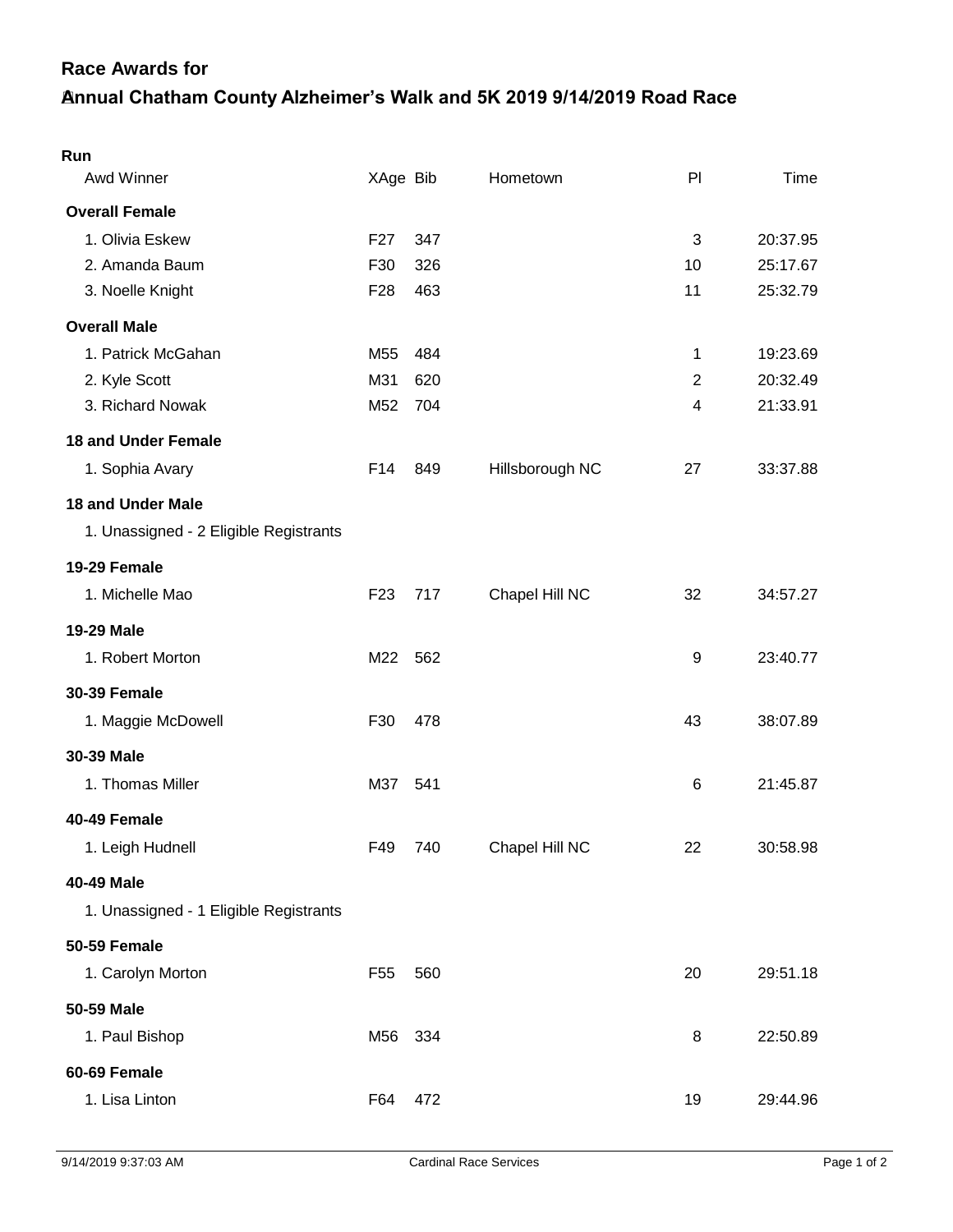## **Annual Chatham County Alzheimer's Walk and 5K 2019 9/14/2019 Road Race Race Awards for**

| Run                                    |                 |     |                 |    |          |
|----------------------------------------|-----------------|-----|-----------------|----|----------|
| Awd Winner                             | XAge Bib        |     | Hometown        | PI | Time     |
| <b>Overall Female</b>                  |                 |     |                 |    |          |
| 1. Olivia Eskew                        | F27             | 347 |                 | 3  | 20:37.95 |
| 2. Amanda Baum                         | F30             | 326 |                 | 10 | 25:17.67 |
| 3. Noelle Knight                       | F <sub>28</sub> | 463 |                 | 11 | 25:32.79 |
| <b>Overall Male</b>                    |                 |     |                 |    |          |
| 1. Patrick McGahan                     | M <sub>55</sub> | 484 |                 | 1  | 19:23.69 |
| 2. Kyle Scott                          | M31             | 620 |                 | 2  | 20:32.49 |
| 3. Richard Nowak                       | M52             | 704 |                 | 4  | 21:33.91 |
| <b>18 and Under Female</b>             |                 |     |                 |    |          |
| 1. Sophia Avary                        | F14             | 849 | Hillsborough NC | 27 | 33:37.88 |
| <b>18 and Under Male</b>               |                 |     |                 |    |          |
| 1. Unassigned - 2 Eligible Registrants |                 |     |                 |    |          |
| 19-29 Female                           |                 |     |                 |    |          |
| 1. Michelle Mao                        | F <sub>23</sub> | 717 | Chapel Hill NC  | 32 | 34:57.27 |
| <b>19-29 Male</b>                      |                 |     |                 |    |          |
| 1. Robert Morton                       | M22             | 562 |                 | 9  | 23:40.77 |
| <b>30-39 Female</b>                    |                 |     |                 |    |          |
| 1. Maggie McDowell                     | F30             | 478 |                 | 43 | 38:07.89 |
| 30-39 Male                             |                 |     |                 |    |          |
| 1. Thomas Miller                       | M37             | 541 |                 | 6  | 21:45.87 |
| 40-49 Female                           |                 |     |                 |    |          |
| 1. Leigh Hudnell                       | F49             | 740 | Chapel Hill NC  | 22 | 30:58.98 |
| <b>40-49 Male</b>                      |                 |     |                 |    |          |
| 1. Unassigned - 1 Eligible Registrants |                 |     |                 |    |          |
| <b>50-59 Female</b>                    |                 |     |                 |    |          |
| 1. Carolyn Morton                      | F <sub>55</sub> | 560 |                 | 20 | 29:51.18 |
| 50-59 Male                             |                 |     |                 |    |          |
| 1. Paul Bishop                         | M56             | 334 |                 | 8  | 22:50.89 |
| 60-69 Female                           |                 |     |                 |    |          |
| 1. Lisa Linton                         | F64             | 472 |                 | 19 | 29:44.96 |
|                                        |                 |     |                 |    |          |